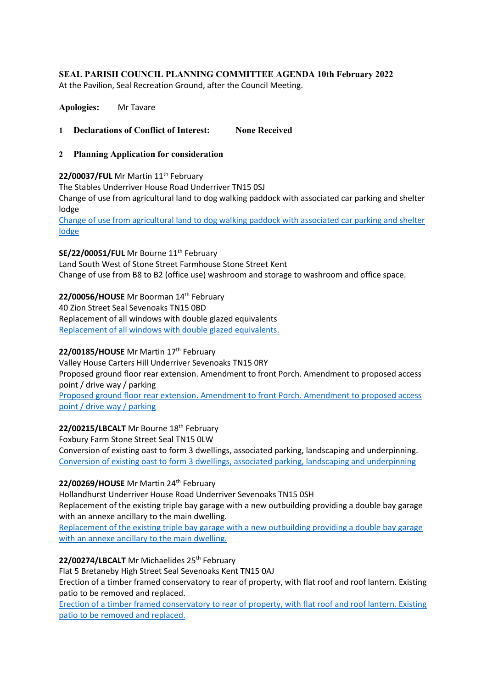# **SEAL PARISH COUNCIL PLANNING COMMITTEE AGENDA 10th February 2022**

At the Pavilion, Seal Recreation Ground, after the Council Meeting.

**Apologies:** Mr Tavare

- **1 Declarations of Conflict of Interest: None Received**
- **2 Planning Application for consideration**

# 22/00037/FUL Mr Martin 11<sup>th</sup> February

The Stables Underriver House Road Underriver TN15 0SJ

Change of use from agricultural land to dog walking paddock with associated car parking and shelter lodge

[Change of use from agricultural land to dog walking paddock with associated car parking and shelter](https://pa.sevenoaks.gov.uk/online-applications/applicationDetails.do?keyVal=R5CN24BKKB700&activeTab=summary)  [lodge](https://pa.sevenoaks.gov.uk/online-applications/applicationDetails.do?keyVal=R5CN24BKKB700&activeTab=summary)

SE/22/00051/FUL Mr Bourne 11<sup>th</sup> February

Land South West of Stone Street Farmhouse Stone Street Kent Change of use from B8 to B2 (office use) washroom and storage to washroom and office space.

**22/00056/HOUSE** Mr Boorman 14th February

40 Zion Street Seal Sevenoaks TN15 0BD Replacement of all windows with double glazed equivalents [Replacement of all windows with double glazed equivalents.](https://pa.sevenoaks.gov.uk/online-applications/applicationDetails.do?keyVal=R5I72TBKKJW00&activeTab=summary)

### 22/00185/HOUSE Mr Martin 17<sup>th</sup> February

Valley House Carters Hill Underriver Sevenoaks TN15 0RY Proposed ground floor rear extension. Amendment to front Porch. Amendment to proposed access point / drive way / parking

[Proposed ground floor rear extension.](https://pa.sevenoaks.gov.uk/online-applications/applicationDetails.do?keyVal=R62KDNBKLHA00&activeTab=summary) Amendment to front Porch. Amendment to proposed access [point / drive way / parking](https://pa.sevenoaks.gov.uk/online-applications/applicationDetails.do?keyVal=R62KDNBKLHA00&activeTab=summary)

### 22/00215/LBCALT Mr Bourne 18<sup>th</sup> February

Foxbury Farm Stone Street Seal TN15 0LW Conversion of existing oast to form 3 dwellings, associated parking, landscaping and underpinning. [Conversion of existing oast to form 3 dwellings, associated parking, landscaping and underpinning](https://pa.sevenoaks.gov.uk/online-applications/applicationDetails.do?keyVal=R69Z24BKLSE00&activeTab=summary)

### 22/00269/HOUSE Mr Martin 24<sup>th</sup> February

Hollandhurst Underriver House Road Underriver Sevenoaks TN15 0SH

Replacement of the existing triple bay garage with a new outbuilding providing a double bay garage with an annexe ancillary to the main dwelling.

[Replacement of the existing triple bay garage with a new outbuilding providing a double bay garage](https://pa.sevenoaks.gov.uk/online-applications/applicationDetails.do?keyVal=R6FJ3IBKM3300&activeTab=summary)  [with an annexe ancillary to the main dwelling.](https://pa.sevenoaks.gov.uk/online-applications/applicationDetails.do?keyVal=R6FJ3IBKM3300&activeTab=summary)

22/00274/LBCALT Mr Michaelides 25<sup>th</sup> February

Flat 5 Bretaneby High Street Seal Sevenoaks Kent TN15 0AJ

Erection of a timber framed conservatory to rear of property, with flat roof and roof lantern. Existing patio to be removed and replaced.

[Erection of a timber framed conservatory to rear of property, with flat roof and roof lantern. Existing](https://pa.sevenoaks.gov.uk/online-applications/applicationDetails.do?keyVal=R6KRWVBK0LO00&activeTab=summary)  [patio to be removed and replaced.](https://pa.sevenoaks.gov.uk/online-applications/applicationDetails.do?keyVal=R6KRWVBK0LO00&activeTab=summary)